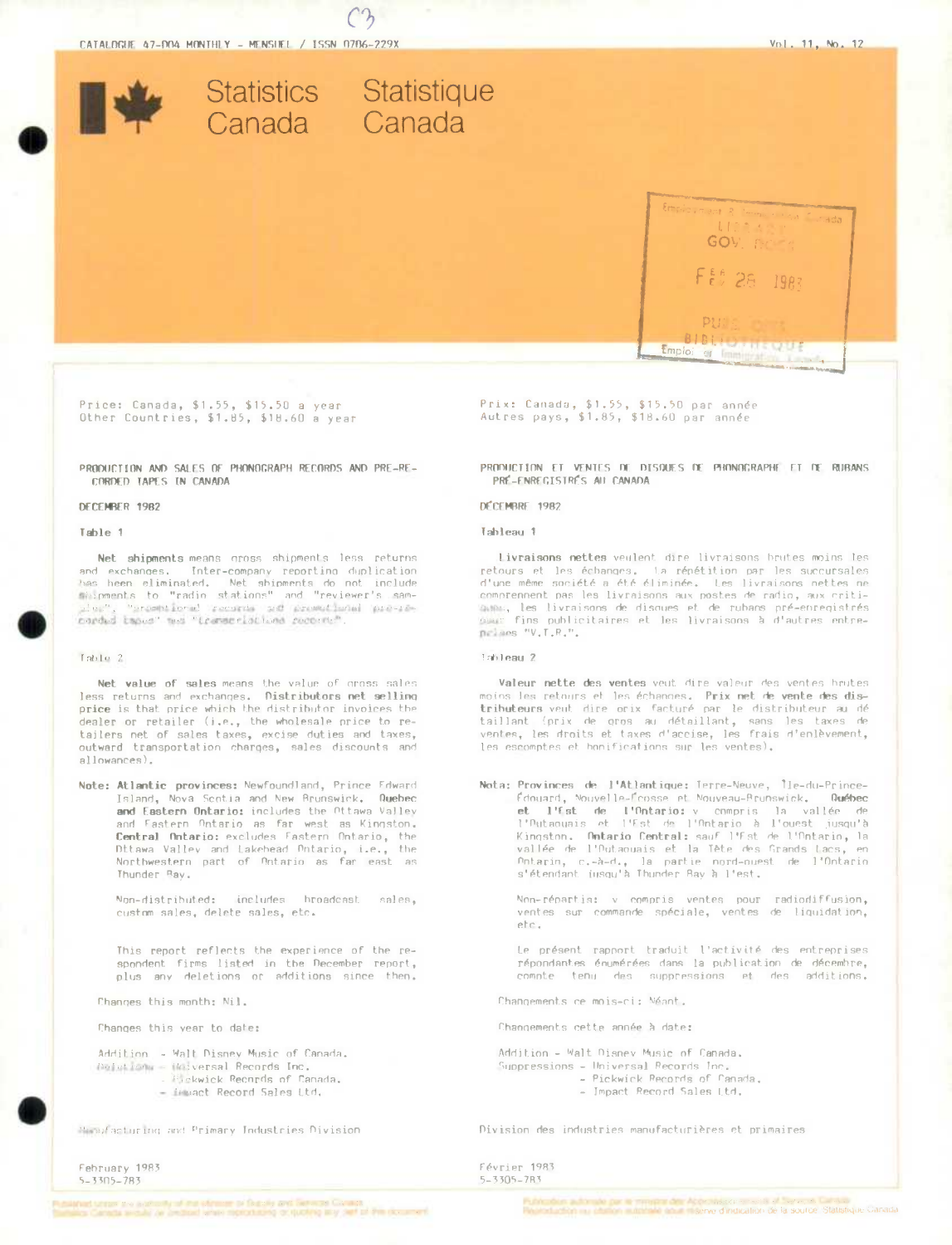

Price: Canada, \$1.55, \$15.50 a year Other Countries, \$1.85, \$18.60 a year

PRODUCTION AND SALES OF PHONOGRAPH RECORDS AND PRE-RE-CORDED TAPES IN CANADA

### DECEMBER 1982

### Table 1

Net shipments means oross shipments less returns and exchanges. Inter-company reporting duplication the best elements of the state of the contract of the contract of the state of the state of the state of the state of the state of the state of the state of the state of the state of the state of the state of the state of plos", "promptional records and promotional pre-re-<br>carded tapes" was "transcriptions records".

### $Table 2$

Net value of sales means the value of gross sales less returns and exchanges. Distributors net selling price is that price which the distributor invoices the dealer or retailer (i.e., the wholesale price to retailers net of sales taxes, excise duties and taxes, outward transportation charges, sales discounts and allowances).

Note: Atlantic provinces: Newfoundland, Prince Edward Island, Nova Scotia and New Brunswick. Quebec and Eastern Ontario: includes the Ottawa Valley and Fastern Ontario as far west as Kingston. Central Ontario: excludes Fastern Ontario, the Ditawa Valley and Lakehead Dntario, i.e., the Northwestern part of Ontario as far east as Thunder Ray.

> Non-distributed: includes broadcast sales. custom sales, delete sales, etc.

This report reflects the experience of the respondent firms listed in the December report, plus any deletions or additions since then.

Changes this month: Nil.

Changes this year to date:

Addition - Walt Disney Music of Canada. Coletions - Holversal Records Inc. Pickwick Records of Canada. - immact Record Sales Ltd.

Menufacturing and Primary Industries Division

February 1983  $5 - 3305 - 783$ 

Prix: Canada, \$1.55, \$15.50 par année Autres pays, \$1.85, \$18.60 par année

PRODUCTION ET VENTES OF DISQUES DE PHONOGRAPHE ET DE RUBANS PRÉ-ENREGISTRÉS AU CANADA

### DÉCEMBRE 1982

#### Tableau 1

Livraisons nettes veulent dire livraisons brutes moins les retours et les échanges. La répétition par les succursales<br>d'une même société a été éliminée. Les livraisons nettes ne comprennent pas les livraisons aux postes de radio, aux criticame, les livraisons de disques et de rubans pré-enregistrés naises "V.T.R.",

### Tahleau 2

Valeur nette des ventes veut dire valeur des ventes hrutes moins les retours et les échanges. Prix net de vente des distributeurs veut dire orix facturé par le distributeur au dé taillant (prix de gros au détaillant, sans les taxes de ventes, les droits et taxes d'accise, les frais d'enlèvement, les escomptes et honifications sur les ventes).

Nota: Provinces de l'Atlantique: Terre-Neuve, Île-du-Prince-Édouard, Nouvelle-Écosse et Nouveau-Prunswick. **Québec** et l'Est de l'Ontario: y compris la vallée de<br>l'Outaouais et l'Est de l'Ontario à l'ouest jusqu'à Kingston. Ontario Central: sauf l'Est de l'Antario, la vallée de l'Outaouais et la Tête des Grands Lacs, en Potential, c.-h-d., la partie et et es brancs tacs, en<br>s'étendant insqu'à Thunder Bay à l'est.

Non-répartis: v compris ventes pour radiodiffusion, ventes sur commande spéciale, ventes de liquidation, etc.

Le présent rapport traduit l'activité des entreprises répondantes énumérées dans la publication de décembre, compte tenu des suppressions et des additions.

Changements ce mois-ci: Néant.

Changements cette année à date:

Addition - Walt Disney Music of Canada. Suppressions - Universal Records Inc. - Pickwick Records of Canada. - Impact Record Sales Ltd.

Division des industries manufacturières et primaires

Février 1983  $5 - 3305 - 7R3$ 

.<br>Publication and the formal margin of the contrast and contrast of the contrast of the state of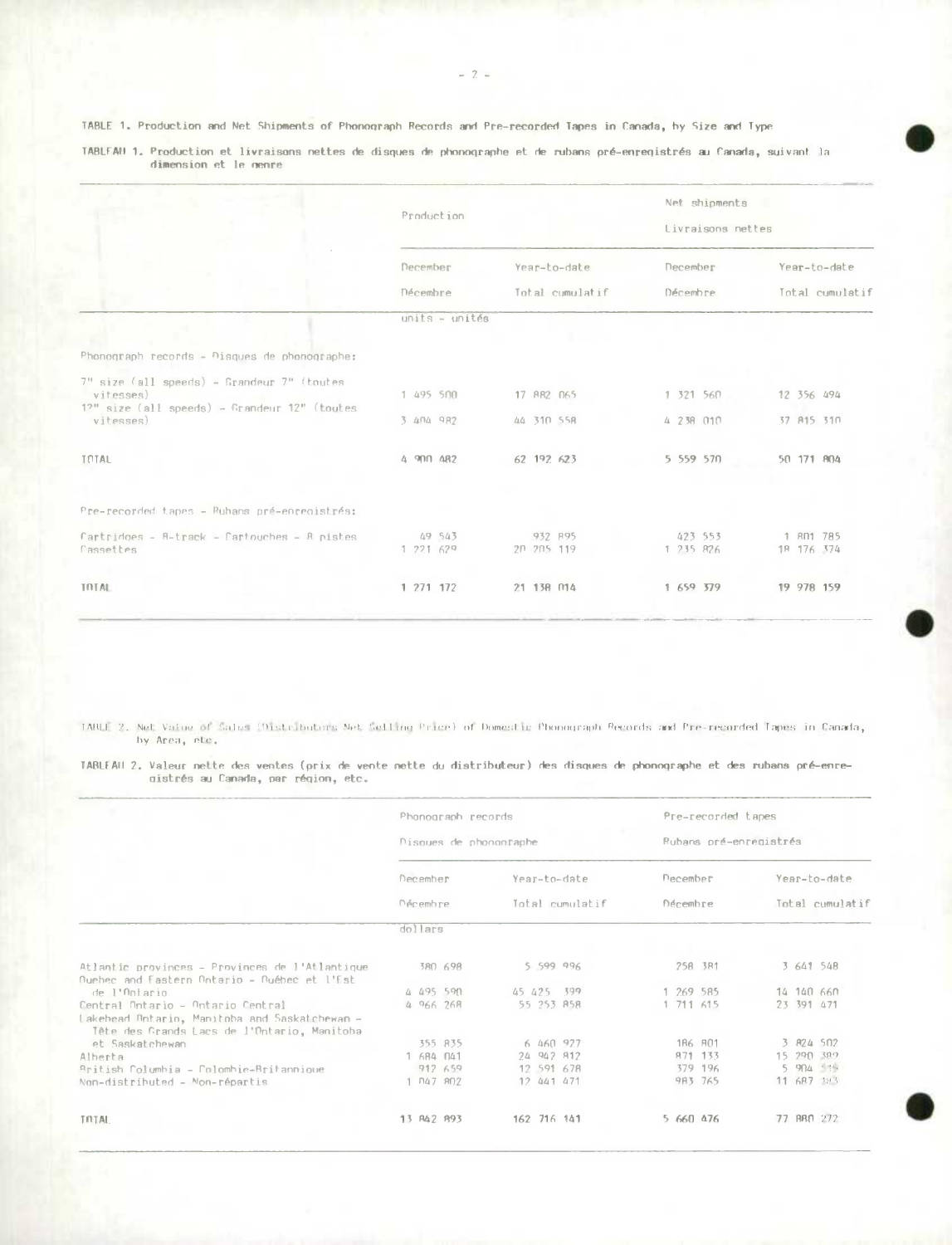TABLE 1. Production and Net Shipments of Phonograph Records and Pre-recorded Tapes in Canada, by Size and Type

|                                                                                                                  | Production          |                       | Net shipments<br>Livraisons nettes |                         |  |  |  |  |
|------------------------------------------------------------------------------------------------------------------|---------------------|-----------------------|------------------------------------|-------------------------|--|--|--|--|
|                                                                                                                  | December            | Year-to-date          | December                           | Year-to-date            |  |  |  |  |
|                                                                                                                  | Décembre            | Total cumulatif       | Décembre                           | Total cumulatif         |  |  |  |  |
|                                                                                                                  | $units - unit$      |                       |                                    |                         |  |  |  |  |
| Phonograph records - Disques de phonographe:                                                                     |                     |                       |                                    |                         |  |  |  |  |
| $7n$ size (all speeds) - Grandeur $7n$ (toutes)<br>vitesses)<br>$12"$ size (all speeds) - Grandeur $12"$ (toutes | 1 495 500           | 17 882 065            | 1 321 560                          | 12 356 494              |  |  |  |  |
| vitesses)                                                                                                        | 3 404 982           | 44 310 558            | 4 238 010                          | 37 815 310              |  |  |  |  |
| TOTAL                                                                                                            | 4 900 482           | 62 192 623            | 5 559 570                          | 50 171 804              |  |  |  |  |
| Pre-recorded tapes - Ruhans pré-enregistrés:                                                                     |                     |                       |                                    |                         |  |  |  |  |
| Cartridges - 8-track - Cartouches - 8 pistes<br>Cassettes                                                        | 49 543<br>1 221 629 | 932 895<br>20 205 119 | 423 553<br>1 235 826               | 1 801 785<br>18 176 374 |  |  |  |  |
| <b>TRTAL</b>                                                                                                     | 1 271 172           | 21 138 014            | 1 659 379                          | 19 978 159              |  |  |  |  |

TABLEAU 1. Production et livraisons nettes de disques de phonographe et de rubans pré-enreqistrés au Canada, suivant la<br>dimension et le nenre

TABLE 2. Net Value of Salus (Distributors Net Selling Price) of Domestic Phonograph Records and Pre-recorded Tapes in Canada, by Area, etc.

TABLEAU 2. Valeur nette des ventes (prix de vente nette du distributeur) des disques de phonographe et des rubans pré-enredistrés au Canada, par région, etc.

|                                                                                              | Phonograph records<br>Disques de phononraphe |            |                                 |  | Pre-recorded tapes<br>Rubans pré-enregistrés |  |                 |  |              |  |            |  |
|----------------------------------------------------------------------------------------------|----------------------------------------------|------------|---------------------------------|--|----------------------------------------------|--|-----------------|--|--------------|--|------------|--|
|                                                                                              | December<br><b>Décembre</b>                  |            | Year-to-date<br>Total cumulatif |  | December<br>Décembre                         |  |                 |  | Year-to-date |  |            |  |
|                                                                                              |                                              |            |                                 |  |                                              |  | Total cumulatif |  |              |  |            |  |
|                                                                                              |                                              | dollars    |                                 |  |                                              |  |                 |  |              |  |            |  |
|                                                                                              |                                              |            |                                 |  |                                              |  |                 |  |              |  |            |  |
| Atlantic provinces - Provinces de l'Atlantique                                               |                                              |            | 380 698                         |  | 5 599 996                                    |  |                 |  | 258 3R1      |  | 3 641 548  |  |
| Buehec and Fastern Botario - Buébec et l'Est                                                 |                                              |            |                                 |  |                                              |  |                 |  |              |  |            |  |
| de l'Ontario                                                                                 |                                              | 4 495 590  |                                 |  | 45 425 399                                   |  |                 |  | 1 269 585    |  | 14 140 660 |  |
| Central Ontario - Ontario Central                                                            |                                              | 4 966 268  |                                 |  | 55 253 ASR                                   |  |                 |  | 1 711 615    |  | 23 391 471 |  |
| Lakehead Antario, Manitoba and Saskatchewan -<br>Tête des Grands Lacs de l'Ontario, Manitoba |                                              |            |                                 |  |                                              |  |                 |  |              |  |            |  |
| et Saskatchewan                                                                              |                                              |            | 355 835                         |  | 6 460 927                                    |  |                 |  | 186 801      |  | 3 824 502  |  |
| Alberta                                                                                      |                                              | 1 684 041  |                                 |  | 24 942 812                                   |  |                 |  | 871 133      |  | 15 290 389 |  |
| British Columbia - Colombie-Britannique                                                      |                                              | 912 659    |                                 |  | 12 591 678                                   |  |                 |  | 379 196      |  | 5 904 519  |  |
| Non-distributed - Non-répartis                                                               |                                              | 1 047 802  |                                 |  | 12 441 471                                   |  |                 |  | 983 765      |  | 11 687 193 |  |
| TRTAL                                                                                        |                                              | 13 R42 893 |                                 |  | 162 716 141                                  |  |                 |  | 5 660 476    |  | 77 ABO 272 |  |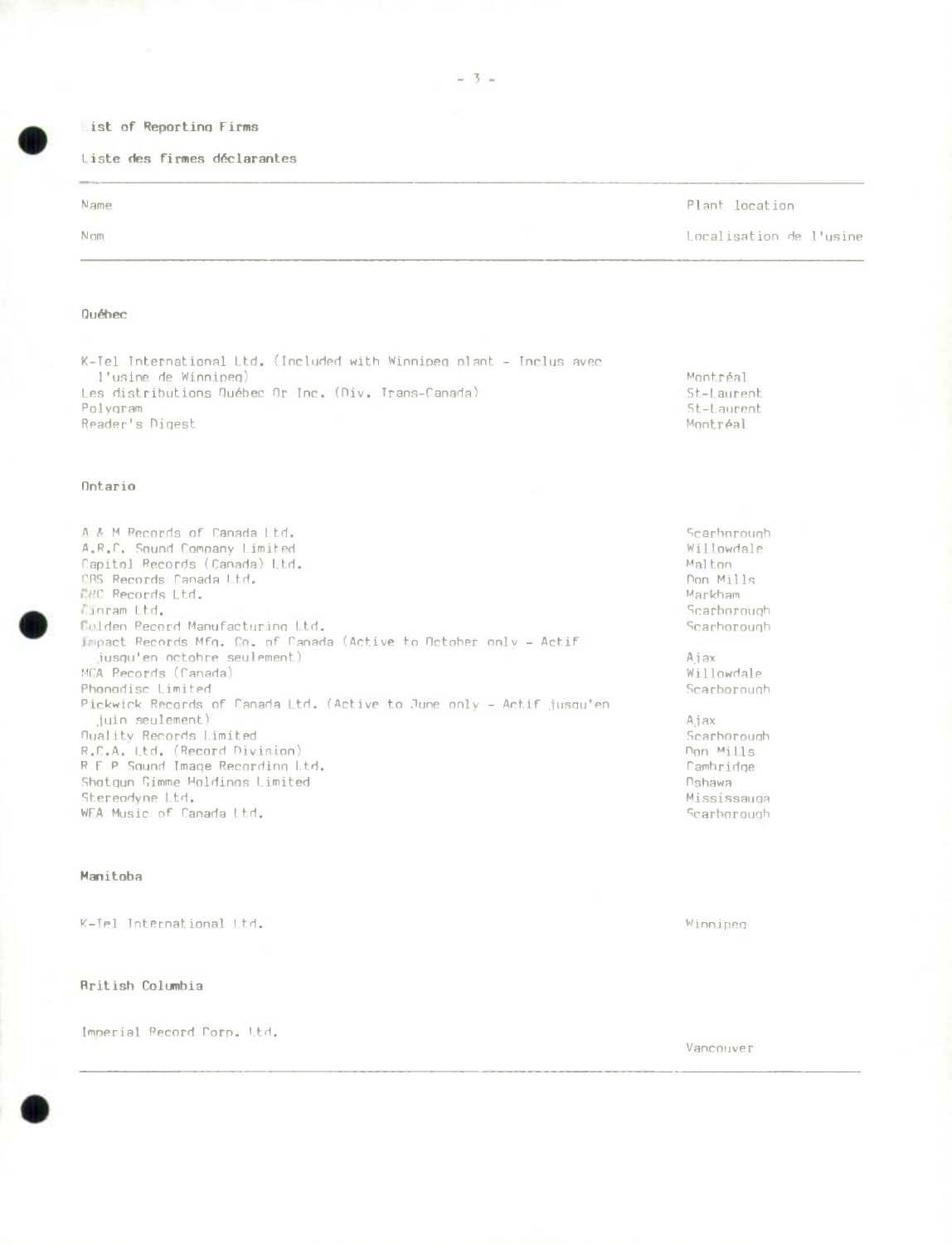## List of Reporting Firms

Liste des firmes déclarantes

| Name | Plant location          |
|------|-------------------------|
| Nom  | Localisation de l'usine |

# Québec

K-Tel International Ltd. (Included with Winnipeg plant - Inclus avec l'usine de Winnipeg) Les distributions Québec Or Inc. (Div. Trans-Canada) Polygram Reader's Digest

## Ontario



### Manitoba

K-Tel International Ltd.

## **British Columbia**

Imperial Record Corp. Ltd.

Winnipeg

Montréal

St-Laurent

St-Laurent

Montréal

Vancouver